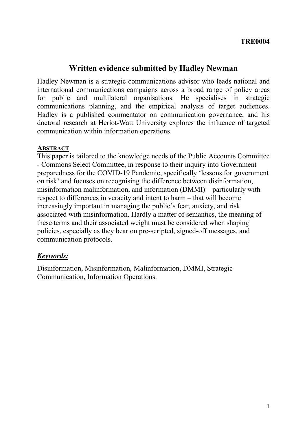# **Written evidence submitted by Hadley Newman**

Hadley Newman is a strategic communications advisor who leads national and international communications campaigns across a broad range of policy areas for public and multilateral organisations. He specialises in strategic communications planning, and the empirical analysis of target audiences. Hadley is a published commentator on communication governance, and his doctoral research at Heriot-Watt University explores the influence of targeted communication within information operations.

#### **ABSTRACT**

This paper is tailored to the knowledge needs of the Public Accounts Committee - Commons Select Committee, in response to their inquiry into Government preparedness for the COVID-19 Pandemic, specifically 'lessons for government on risk' and focuses on recognising the difference between disinformation, misinformation malinformation, and information (DMMI) – particularly with respect to differences in veracity and intent to harm – that will become increasingly important in managing the public's fear, anxiety, and risk associated with misinformation. Hardly a matter of semantics, the meaning of these terms and their associated weight must be considered when shaping policies, especially as they bear on pre-scripted, signed-off messages, and communication protocols.

### *Keywords:*

Disinformation, Misinformation, Malinformation, DMMI, Strategic Communication, Information Operations.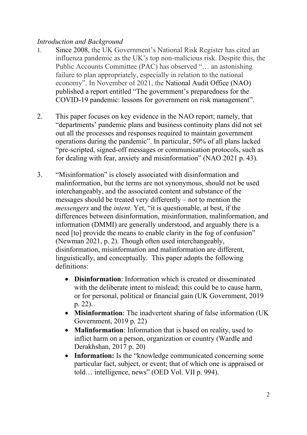## *Introduction and Background*

- 1. Since 2008, the UK Government's National Risk Register has cited an influenza pandemic as the UK's top non-malicious risk. Despite this, the Public Accounts Committee (PAC) has observed "… an astonishing failure to plan appropriately, especially in relation to the national economy". In November of 2021, the National Audit Office (NAO) published a report entitled "The government's preparedness for the COVID-19 pandemic: lessons for government on risk management".
- 2. This paper focuses on key evidence in the NAO report; namely, that "departments' pandemic plans and business continuity plans did not set out all the processes and responses required to maintain government operations during the pandemic". In particular, 50% of all plans lacked "pre-scripted, signed-off messages or communication protocols, such as for dealing with fear, anxiety and misinformation" (NAO 2021 p. 43).
- 3. "Misinformation" is closely associated with disinformation and malinformation, but the terms are not synonymous, should not be used interchangeably, and the associated content and substance of the messages should be treated very differently – not to mention the *messengers* and the *intent*. Yet, "it is questionable, at best, if the differences between disinformation, misinformation, malinformation, and information (DMMI) are generally understood, and arguably there is a need [to] provide the means to enable clarity in the fog of confusion" (Newman 2021, p. 2). Though often used interchangeably, disinformation, misinformation and malinformation are different, linguistically, and conceptually. This paper adopts the following definitions:
	- **Disinformation**: Information which is created or disseminated with the deliberate intent to mislead; this could be to cause harm, or for personal, political or financial gain (UK Government, 2019 p. 22).
	- **Misinformation**: The inadvertent sharing of false information (UK Government, 2019 p. 22)
	- **Malinformation**: Information that is based on reality, used to inflict harm on a person, organization or country (Wardle and Derakhshan, 2017 p. 20)
	- Information: Is the "knowledge communicated concerning some particular fact, subject, or event; that of which one is appraised or told… intelligence, news" (OED Vol. VII p. 994).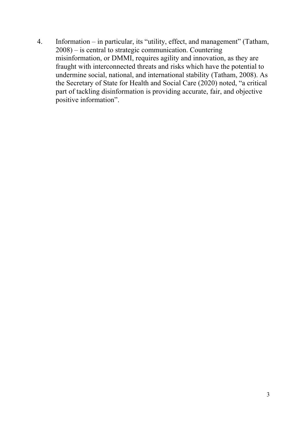4. Information – in particular, its "utility, effect, and management" (Tatham, 2008) – is central to strategic communication. Countering misinformation, or DMMI, requires agility and innovation, as they are fraught with interconnected threats and risks which have the potential to undermine social, national, and international stability (Tatham, 2008). As the Secretary of State for Health and Social Care (2020) noted, "a critical part of tackling disinformation is providing accurate, fair, and objective positive information".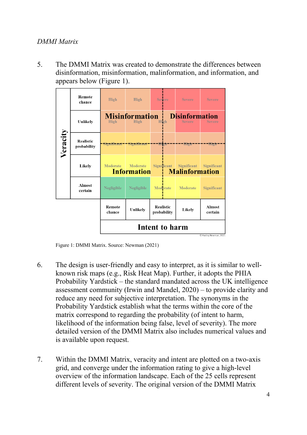### *DMMI Matrix*

5. The DMMI Matrix was created to demonstrate the differences between disinformation, misinformation, malinformation, and information, and appears below (Figure 1).

|          | Remote<br>chance                | <b>High</b>                                    | <b>High</b>                                  | <b>Severe</b>            | <b>Severe</b>                                  | <b>Severe</b>            |
|----------|---------------------------------|------------------------------------------------|----------------------------------------------|--------------------------|------------------------------------------------|--------------------------|
| Veracity | Unlikely                        | <b>High</b>                                    | <b>Misinformation</b><br><b>High</b>         | High                     | <b>Disinformation</b><br><b>Severe</b>         | <b>Severe</b>            |
|          | <b>Realistic</b><br>probability |                                                | Significant - - Significant - - - - High - - |                          | $---$ High                                     | -High                    |
|          | Likely                          | Moderate                                       | Moderate<br><b>Information</b>               | Significant              | Significant<br><b>Example 1 Malinformation</b> | Significant              |
|          | <b>Almost</b><br>certain        | Negligible                                     | Negligible                                   | Moderate                 | Moderate                                       | Significant              |
|          |                                 | Remote<br>chance                               | Unlikely                                     | Realistic<br>probability | Likely                                         | <b>Almost</b><br>certain |
|          |                                 | <b>Intent to harm</b><br>C Hadley Newman, 2021 |                                              |                          |                                                |                          |

Figure 1: DMMI Matrix. Source: Newman (2021)

- 6. The design is user-friendly and easy to interpret, as it is similar to wellknown risk maps (e.g., Risk Heat Map). Further, it adopts the PHIA Probability Yardstick – the standard mandated across the UK intelligence assessment community (Irwin and Mandel, 2020) – to provide clarity and reduce any need for subjective interpretation. The synonyms in the Probability Yardstick establish what the terms within the core of the matrix correspond to regarding the probability (of intent to harm, likelihood of the information being false, level of severity). The more detailed version of the DMMI Matrix also includes numerical values and is available upon request.
- 7. Within the DMMI Matrix, veracity and intent are plotted on a two-axis grid, and converge under the information rating to give a high-level overview of the information landscape. Each of the 25 cells represent different levels of severity. The original version of the DMMI Matrix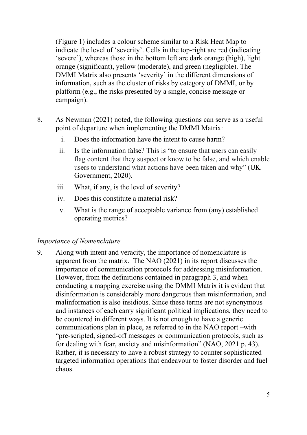(Figure 1) includes a colour scheme similar to a Risk Heat Map to indicate the level of 'severity'. Cells in the top-right are red (indicating 'severe'), whereas those in the bottom left are dark orange (high), light orange (significant), yellow (moderate), and green (negligible). The DMMI Matrix also presents 'severity' in the different dimensions of information, such as the cluster of risks by category of DMMI, or by platform (e.g., the risks presented by a single, concise message or campaign).

- 8. As Newman (2021) noted, the following questions can serve as a useful point of departure when implementing the DMMI Matrix:
	- i. Does the information have the intent to cause harm?
	- ii. Is the information false? This is "to ensure that users can easily flag content that they suspect or know to be false, and which enable users to understand what actions have been taken and why" (UK Government, 2020).
	- iii. What, if any, is the level of severity?
	- iv. Does this constitute a material risk?
	- v. What is the range of acceptable variance from (any) established operating metrics?

### *Importance of Nomenclature*

9. Along with intent and veracity, the importance of nomenclature is apparent from the matrix. The NAO (2021) in its report discusses the importance of communication protocols for addressing misinformation. However, from the definitions contained in paragraph 3, and when conducting a mapping exercise using the DMMI Matrix it is evident that disinformation is considerably more dangerous than misinformation, and malinformation is also insidious. Since these terms are not synonymous and instances of each carry significant political implications, they need to be countered in different ways. It is not enough to have a generic communications plan in place, as referred to in the NAO report –with "pre-scripted, signed-off messages or communication protocols, such as for dealing with fear, anxiety and misinformation" (NAO, 2021 p. 43). Rather, it is necessary to have a robust strategy to counter sophisticated targeted information operations that endeavour to foster disorder and fuel chaos.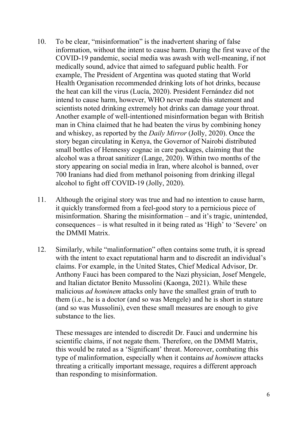- 10. To be clear, "misinformation" is the inadvertent sharing of false information, without the intent to cause harm. During the first wave of the COVID-19 pandemic, social media was awash with well-meaning, if not medically sound, advice that aimed to safeguard public health. For example, The President of Argentina was quoted stating that World Health Organisation recommended drinking lots of hot drinks, because the heat can kill the virus (Lucía, 2020). President Fernández did not intend to cause harm, however, WHO never made this statement and scientists noted drinking extremely hot drinks can damage your throat. Another example of well-intentioned misinformation began with British man in China claimed that he had beaten the virus by combining honey and whiskey, as reported by the *Daily Mirror* (Jolly, 2020). Once the story began circulating in Kenya, the Governor of Nairobi distributed small bottles of Hennessy cognac in care packages, claiming that the alcohol was a throat sanitizer (Lange, 2020). Within two months of the story appearing on social media in Iran, where alcohol is banned, over 700 Iranians had died from methanol poisoning from drinking illegal alcohol to fight off COVID-19 (Jolly, 2020).
- 11. Although the original story was true and had no intention to cause harm, it quickly transformed from a feel-good story to a pernicious piece of misinformation. Sharing the misinformation – and it's tragic, unintended, consequences – is what resulted in it being rated as 'High' to 'Severe' on the DMMI Matrix.
- 12. Similarly, while "malinformation" often contains some truth, it is spread with the intent to exact reputational harm and to discredit an individual's claims. For example, in the United States, Chief Medical Advisor, Dr. Anthony Fauci has been compared to the Nazi physician, Josef Mengele, and Italian dictator Benito Mussolini (Kaonga, 2021). While these malicious *ad hominem* attacks only have the smallest grain of truth to them (i.e., he is a doctor (and so was Mengele) and he is short in stature (and so was Mussolini), even these small measures are enough to give substance to the lies.

These messages are intended to discredit Dr. Fauci and undermine his scientific claims, if not negate them. Therefore, on the DMMI Matrix, this would be rated as a 'Significant' threat. Moreover, combating this type of malinformation, especially when it contains *ad hominem* attacks threating a critically important message, requires a different approach than responding to misinformation.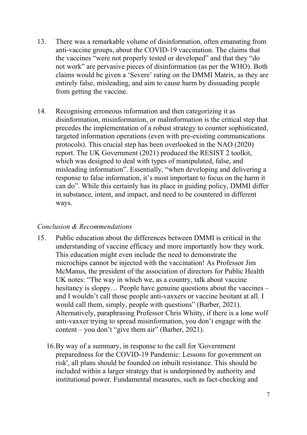- 13. There was a remarkable volume of disinformation, often emanating from anti-vaccine groups, about the COVID-19 vaccination. The claims that the vaccines "were not properly tested or developed" and that they "do not work" are pervasive pieces of disinformation (as per the WHO). Both claims would be given a 'Severe' rating on the DMMI Matrix, as they are entirely false, misleading, and aim to cause harm by dissuading people from getting the vaccine.
- 14. Recognising erroneous information and then categorizing it as disinformation, misinformation, or malinformation is the critical step that precedes the implementation of a robust strategy to counter sophisticated, targeted information operations (even with pre-existing communications protocols). This crucial step has been overlooked in the NAO (2020) report. The UK Government (2021) produced the RESIST 2 toolkit, which was designed to deal with types of manipulated, false, and misleading information". Essentially, "when developing and delivering a response to false information, it's most important to focus on the harm it can do". While this certainly has its place in guiding policy, DMMI differ in substance, intent, and impact, and need to be countered in different ways.

### *Conclusion & Recommendations*

- 15. Public education about the differences between DMMI is critical in the understanding of vaccine efficacy and more importantly how they work. This education might even include the need to demonstrate the microchips cannot be injected with the vaccination! As Professor Jim McManus, the president of the association of directors for Public Health UK notes: "The way in which we, as a country, talk about vaccine hesitancy is sloppy... People have genuine questions about the vaccines – and I wouldn't call those people anti-vaxxers or vaccine hesitant at all. I would call them, simply, people with questions" (Barber, 2021). Alternatively, paraphrasing Professor Chris Whitty, if there is a lone wolf anti-vaxxer trying to spread misinformation, you don't engage with the content – you don't "give them air" (Barber, 2021).
	- 16.By way of a summary, in response to the call for 'Government preparedness for the COVID-19 Pandemic: Lessons for government on risk', all plans should be founded on inbuilt resistance. This should be included within a larger strategy that is underpinned by authority and institutional power. Fundamental measures, such as fact-checking and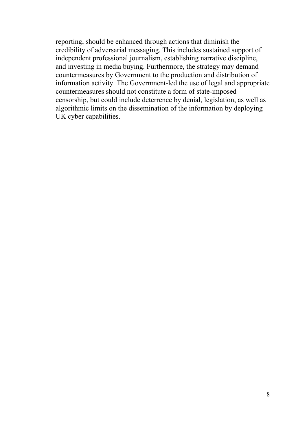reporting, should be enhanced through actions that diminish the credibility of adversarial messaging. This includes sustained support of independent professional journalism, establishing narrative discipline, and investing in media buying. Furthermore, the strategy may demand countermeasures by Government to the production and distribution of information activity. The Government-led the use of legal and appropriate countermeasures should not constitute a form of state-imposed censorship, but could include deterrence by denial, legislation, as well as algorithmic limits on the dissemination of the information by deploying UK cyber capabilities.